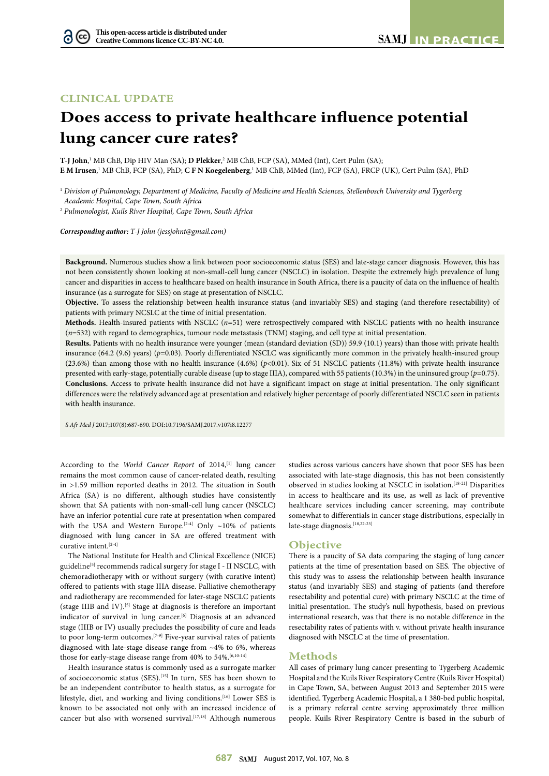# **CLINICAL UPDATE**

# **Does access to private healthcare influence potential lung cancer cure rates?**

**T-J John**, 1 MB ChB, Dip HIV Man (SA); **D Plekker**, 2 MB ChB, FCP (SA), MMed (Int), Cert Pulm (SA); **E M Irusen**, 1 MB ChB, FCP (SA), PhD; **C F N Koegelenberg**, 1 MB ChB, MMed (Int), FCP (SA), FRCP (UK), Cert Pulm (SA), PhD

<sup>1</sup> *Division of Pulmonology, Department of Medicine, Faculty of Medicine and Health Sciences, Stellenbosch University and Tygerberg Academic Hospital, Cape Town, South Africa*

2  *Pulmonologist, Kuils River Hospital, Cape Town, South Africa*

*Corresponding author: T-J John [\(jessjohnt@gmail.com](mailto:jessjohnt@gmail.com))*

**Background.** Numerous studies show a link between poor socioeconomic status (SES) and late-stage cancer diagnosis. However, this has not been consistently shown looking at non-small-cell lung cancer (NSCLC) in isolation. Despite the extremely high prevalence of lung cancer and disparities in access to healthcare based on health insurance in South Africa, there is a paucity of data on the influence of health insurance (as a surrogate for SES) on stage at presentation of NSCLC.

**Objective.** To assess the relationship between health insurance status (and invariably SES) and staging (and therefore resectability) of patients with primary NCSLC at the time of initial presentation.

**Methods.** Health-insured patients with NSCLC (*n*=51) were retrospectively compared with NSCLC patients with no health insurance (*n*=532) with regard to demographics, tumour node metastasis (TNM) staging, and cell type at initial presentation.

**Results.** Patients with no health insurance were younger (mean (standard deviation (SD)) 59.9 (10.1) years) than those with private health insurance (64.2 (9.6) years) (*p*=0.03). Poorly differentiated NSCLC was significantly more common in the privately health-insured group (23.6%) than among those with no health insurance (4.6%) (*p*<0.01). Six of 51 NSCLC patients (11.8%) with private health insurance presented with early-stage, potentially curable disease (up to stage IIIA), compared with 55 patients (10.3%) in the uninsured group (*p*=0.75). **Conclusions.** Access to private health insurance did not have a significant impact on stage at initial presentation. The only significant differences were the relatively advanced age at presentation and relatively higher percentage of poorly differentiated NSCLC seen in patients with health insurance.

*S Afr Med J* 2017;107(8):687-690. DOI[:10.7196/SAMJ.](10.7196/SAMJ)2017.v107i8.12277

According to the *World Cancer Report* of 2014,<sup>[1]</sup> lung cancer remains the most common cause of cancer-related death, resulting in >1.59 million reported deaths in 2012. The situation in South Africa (SA) is no different, although studies have consistently shown that SA patients with non-small-cell lung cancer (NSCLC) have an inferior potential cure rate at presentation when compared with the USA and Western Europe.<sup>[2-4]</sup> Only  $\sim$ 10% of patients diagnosed with lung cancer in SA are offered treatment with curative intent.[2-4]

The National Institute for Health and Clinical Excellence (NICE) guideline<sup>[5]</sup> recommends radical surgery for stage I - II NSCLC, with chemoradiotherapy with or without surgery (with curative intent) offered to patients with stage IIIA disease. Palliative chemotherapy and radiotherapy are recommended for later-stage NSCLC patients (stage IIIB and IV).[5] Stage at diagnosis is therefore an important indicator of survival in lung cancer.<sup>[6]</sup> Diagnosis at an advanced stage (IIIB or IV) usually precludes the possibility of cure and leads to poor long-term outcomes.<sup>[7-9]</sup> Five-year survival rates of patients diagnosed with late-stage disease range from ~4% to 6%, whereas those for early-stage disease range from 40% to 54%.<sup>[6,10-14]</sup>

Health insurance status is commonly used as a surrogate marker of socioeconomic status (SES).<sup>[15]</sup> In turn, SES has been shown to be an independent contributor to health status, as a surrogate for lifestyle, diet, and working and living conditions.[16] Lower SES is known to be associated not only with an increased incidence of cancer but also with worsened survival.<sup>[17,18]</sup> Although numerous

studies across various cancers have shown that poor SES has been associated with late-stage diagnosis, this has not been consistently observed in studies looking at NSCLC in isolation.[18-21] Disparities in access to healthcare and its use, as well as lack of preventive healthcare services including cancer screening, may contribute somewhat to differentials in cancer stage distributions, especially in late-stage diagnosis.<sup>[18,22-25]</sup>

## **Objective**

There is a paucity of SA data comparing the staging of lung cancer patients at the time of presentation based on SES. The objective of this study was to assess the relationship between health insurance status (and invariably SES) and staging of patients (and therefore resectability and potential cure) with primary NSCLC at the time of initial presentation. The study's null hypothesis, based on previous international research, was that there is no notable difference in the resectability rates of patients with v. without private health insurance diagnosed with NSCLC at the time of presentation.

### **Methods**

All cases of primary lung cancer presenting to Tygerberg Academic Hospital and the Kuils River Respiratory Centre (Kuils River Hospital) in Cape Town, SA, between August 2013 and September 2015 were identified. Tygerberg Academic Hospital, a 1 380-bed public hospital, is a primary referral centre serving approximately three million people. Kuils River Respiratory Centre is based in the suburb of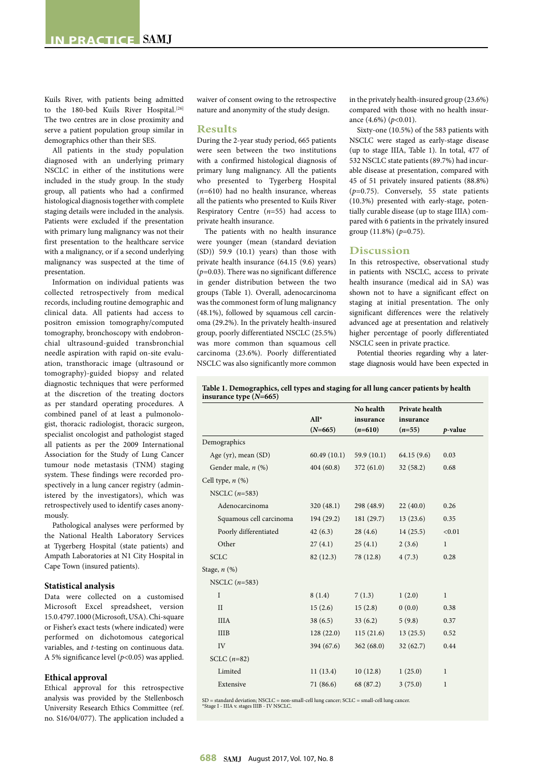Kuils River, with patients being admitted to the 180-bed Kuils River Hospital.<sup>[26]</sup> The two centres are in close proximity and serve a patient population group similar in demographics other than their SES.

All patients in the study population diagnosed with an underlying primary NSCLC in either of the institutions were included in the study group. In the study group, all patients who had a confirmed histological diagnosis together with complete staging details were included in the analysis. Patients were excluded if the presentation with primary lung malignancy was not their first presentation to the healthcare service with a malignancy, or if a second underlying malignancy was suspected at the time of presentation.

Information on individual patients was collected retrospectively from medical records, including routine demographic and clinical data. All patients had access to positron emission tomography/computed tomography, bronchoscopy with endobronchial ultrasound-guided transbronchial needle aspiration with rapid on-site evaluation, transthoracic image (ultrasound or tomography)-guided biopsy and related diagnostic techniques that were performed at the discretion of the treating doctors as per standard operating procedures. A combined panel of at least a pulmonologist, thoracic radiologist, thoracic surgeon, specialist oncologist and pathologist staged all patients as per the 2009 International Association for the Study of Lung Cancer tumour node metastasis (TNM) staging system. These findings were recorded prospectively in a lung cancer registry (administered by the investigators), which was retrospectively used to identify cases anonymously.

Pathological analyses were performed by the National Health Laboratory Services at Tygerberg Hospital (state patients) and Ampath Laboratories at N1 City Hospital in Cape Town (insured patients).

#### **Statistical analysis**

Data were collected on a customised Microsoft Excel spreadsheet, version 15.0.4797.1000 (Microsoft, USA). Chi-square or Fisher's exact tests (where indicated) were performed on dichotomous categorical variables, and *t*-testing on continuous data. A 5% significance level (*p*<0.05) was applied.

#### **Ethical approval**

Ethical approval for this retrospective analysis was provided by the Stellenbosch University Research Ethics Committee (ref. no. S16/04/077). The application included a

waiver of consent owing to the retrospective nature and anonymity of the study design.

#### **Results**

During the 2-year study period, 665 patients were seen between the two institutions with a confirmed histological diagnosis of primary lung malignancy. All the patients who presented to Tygerberg Hospital (*n*=610) had no health insurance, whereas all the patients who presented to Kuils River Respiratory Centre (*n*=55) had access to private health insurance.

The patients with no health insurance were younger (mean (standard deviation (SD)) 59.9 (10.1) years) than those with private health insurance (64.15 (9.6) years) (*p*=0.03). There was no significant difference in gender distribution between the two groups (Table 1). Overall, adenocarcinoma was the commonest form of lung malignancy (48.1%), followed by squamous cell carcinoma (29.2%). In the privately health-insured group, poorly differentiated NSCLC (25.5%) was more common than squamous cell carcinoma (23.6%). Poorly differentiated NSCLC was also significantly more common

in the privately health-insured group (23.6%) compared with those with no health insurance (4.6%) (*p*<0.01).

Sixty-one (10.5%) of the 583 patients with NSCLC were staged as early-stage disease (up to stage IIIA, Table 1). In total, 477 of 532 NSCLC state patients (89.7%) had incurable disease at presentation, compared with 45 of 51 privately insured patients (88.8%) (*p*=0.75). Conversely, 55 state patients (10.3%) presented with early-stage, potentially curable disease (up to stage IIIA) compared with 6 patients in the privately insured group (11.8%) (*p*=0.75).

#### **Discussion**

In this retrospective, observational study in patients with NSCLC, access to private health insurance (medical aid in SA) was shown not to have a significant effect on staging at initial presentation. The only significant differences were the relatively advanced age at presentation and relatively higher percentage of poorly differentiated NSCLC seen in private practice.

Potential theories regarding why a laterstage diagnosis would have been expected in

| Table 1. Demographics, cell types and staging for all lung cancer patients by health |  |
|--------------------------------------------------------------------------------------|--|
| insurance type $(N=665)$                                                             |  |

|                         |             | No health  | Private health<br>insurance |              |
|-------------------------|-------------|------------|-----------------------------|--------------|
|                         | $All*$      | insurance  |                             |              |
|                         | $(N=665)$   | $(n=610)$  | $(n=55)$                    | p-value      |
| Demographics            |             |            |                             |              |
| Age (yr), mean (SD)     | 60.49(10.1) | 59.9(10.1) | 64.15(9.6)                  | 0.03         |
| Gender male, $n$ (%)    | 404(60.8)   | 372(61.0)  | 32(58.2)                    | 0.68         |
| Cell type, $n$ $(\%)$   |             |            |                             |              |
| NSCLC $(n=583)$         |             |            |                             |              |
| Adenocarcinoma          | 320(48.1)   | 298 (48.9) | 22(40.0)                    | 0.26         |
| Squamous cell carcinoma | 194 (29.2)  | 181(29.7)  | 13(23.6)                    | 0.35         |
| Poorly differentiated   | 42(6.3)     | 28(4.6)    | 14(25.5)                    | < 0.01       |
| Other                   | 27(4.1)     | 25(4.1)    | 2(3.6)                      | $\mathbf{1}$ |
| <b>SCLC</b>             | 82 (12.3)   | 78 (12.8)  | 4(7.3)                      | 0.28         |
| Stage, $n$ (%)          |             |            |                             |              |
| NSCLC $(n=583)$         |             |            |                             |              |
| $\mathbf{I}$            | 8(1.4)      | 7(1.3)     | 1(2.0)                      | $\mathbf{1}$ |
| $\mathbf{H}$            | 15(2.6)     | 15(2.8)    | 0(0.0)                      | 0.38         |
| <b>IIIA</b>             | 38(6.5)     | 33(6.2)    | 5(9.8)                      | 0.37         |
| <b>IIIB</b>             | 128(22.0)   | 115(21.6)  | 13(25.5)                    | 0.52         |
| IV                      | 394 (67.6)  | 362(68.0)  | 32(62.7)                    | 0.44         |
| SCLC $(n=82)$           |             |            |                             |              |
| Limited                 | 11(13.4)    | 10(12.8)   | 1(25.0)                     | $\mathbf{1}$ |
| Extensive               | 71 (86.6)   | 68 (87.2)  | 3(75.0)                     | $\mathbf{1}$ |
|                         |             |            |                             |              |

SD = standard deviation; NSCLC = non-small-cell lung cancer; SCLC = small-cell lung cancer. \*Stage I - IIIA v. stages IIIB - IV NSCLC.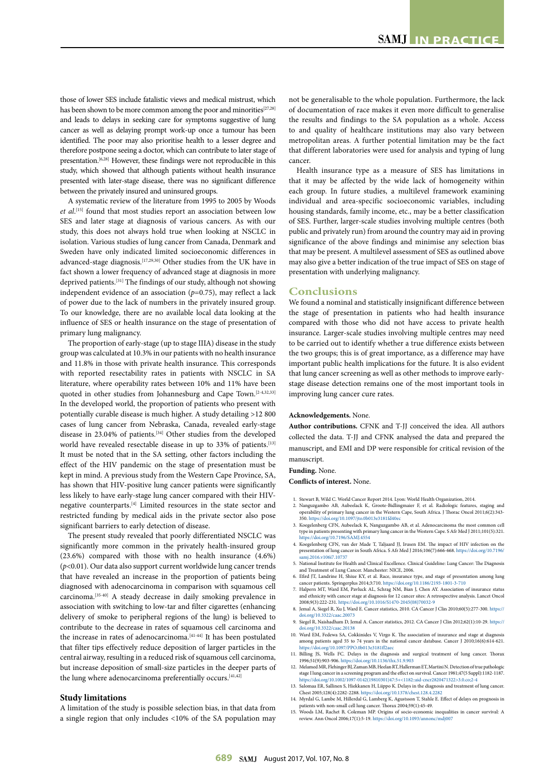those of lower SES include fatalistic views and medical mistrust, which has been shown to be more common among the poor and minorities<sup>[27,28]</sup> and leads to delays in seeking care for symptoms suggestive of lung cancer as well as delaying prompt work-up once a tumour has been identified. The poor may also prioritise health to a lesser degree and therefore postpone seeing a doctor, which can contribute to later stage of presentation.[6,28] However, these findings were not reproducible in this study, which showed that although patients without health insurance presented with later-stage disease, there was no significant difference between the privately insured and uninsured groups.

A systematic review of the literature from 1995 to 2005 by Woods *et al*. [15] found that most studies report an association between low SES and later stage at diagnosis of various cancers. As with our study, this does not always hold true when looking at NSCLC in isolation. Various studies of lung cancer from Canada, Denmark and Sweden have only indicated limited socioeconomic differences in advanced-stage diagnosis.[17,29,30] Other studies from the UK have in fact shown a lower frequency of advanced stage at diagnosis in more deprived patients.[31] The findings of our study, although not showing independent evidence of an association  $(p=0.75)$ , may reflect a lack of power due to the lack of numbers in the privately insured group. To our knowledge, there are no available local data looking at the influence of SES or health insurance on the stage of presentation of primary lung malignancy.

The proportion of early-stage (up to stage IIIA) disease in the study group was calculated at 10.3% in our patients with no health insurance and 11.8% in those with private health insurance. This corresponds with reported resectability rates in patients with NSCLC in SA literature, where operability rates between 10% and 11% have been quoted in other studies from Johannesburg and Cape Town.[2-4,32,33] In the developed world, the proportion of patients who present with potentially curable disease is much higher. A study detailing >12 800 cases of lung cancer from Nebraska, Canada, revealed early-stage disease in 23.04% of patients.<sup>[34]</sup> Other studies from the developed world have revealed resectable disease in up to 33% of patients.<sup>[13]</sup> It must be noted that in the SA setting, other factors including the effect of the HIV pandemic on the stage of presentation must be kept in mind. A previous study from the Western Cape Province, SA, has shown that HIV-positive lung cancer patients were significantly less likely to have early-stage lung cancer compared with their HIVnegative counterparts.[4] Limited resources in the state sector and restricted funding by medical aids in the private sector also pose significant barriers to early detection of disease.

The present study revealed that poorly differentiated NSCLC was significantly more common in the privately health-insured group (23.6%) compared with those with no health insurance (4.6%) (*p*<0.01). Our data also support current worldwide lung cancer trends that have revealed an increase in the proportion of patients being diagnosed with adenocarcinoma in comparison with squamous cell carcinoma.[35-40] A steady decrease in daily smoking prevalence in association with switching to low-tar and filter cigarettes (enhancing delivery of smoke to peripheral regions of the lung) is believed to contribute to the decrease in rates of squamous cell carcinoma and the increase in rates of adenocarcinoma.<sup>[41-44]</sup> It has been postulated that filter tips effectively reduce deposition of larger particles in the central airway, resulting in a reduced risk of squamous cell carcinoma, but increase deposition of small-size particles in the deeper parts of the lung where adenocarcinoma preferentially occurs.<sup>[41,42]</sup>

#### **Study limitations**

A limitation of the study is possible selection bias, in that data from a single region that only includes <10% of the SA population may not be generalisable to the whole population. Furthermore, the lack of documentation of race makes it even more difficult to generalise the results and findings to the SA population as a whole. Access to and quality of healthcare institutions may also vary between metropolitan areas. A further potential limitation may be the fact that different laboratories were used for analysis and typing of lung cancer.

Health insurance type as a measure of SES has limitations in that it may be affected by the wide lack of homogeneity within each group. In future studies, a multilevel framework examining individual and area-specific socioeconomic variables, including housing standards, family income, etc., may be a better classification of SES. Further, larger-scale studies involving multiple centres (both public and privately run) from around the country may aid in proving significance of the above findings and minimise any selection bias that may be present. A multilevel assessment of SES as outlined above may also give a better indication of the true impact of SES on stage of presentation with underlying malignancy.

#### **Conclusions**

We found a nominal and statistically insignificant difference between the stage of presentation in patients who had health insurance compared with those who did not have access to private health insurance. Larger-scale studies involving multiple centres may need to be carried out to identify whether a true difference exists between the two groups; this is of great importance, as a difference may have important public health implications for the future. It is also evident that lung cancer screening as well as other methods to improve earlystage disease detection remains one of the most important tools in improving lung cancer cure rates.

#### **Acknowledgements.** None.

**Author contributions.** CFNK and T-JJ conceived the idea. All authors collected the data. T-JJ and CFNK analysed the data and prepared the manuscript, and EMI and DP were responsible for critical revision of the manuscript.

#### **Funding.** None.

**Conflicts of interest.** None.

- 1. Stewart B, Wild C. World Cancer Report 2014. Lyon: World Health Organization, 2014.
- 2. Nanguzgambo AB, Aubeelack K, Groote-Bidlingmaier F, et al. Radiologic features, staging and operability of primary lung cancer in the Western Cape, South Africa. J Thorac Oncol 2011;6(2):343- 350. <https://doi.org/10.1097/jto.0b013e3181fd40ec>
- 3. Koegelenberg CFN, Aubeelack K, Nanguzgambo AB, et al. Adenocarcinoma the most com type in patients presenting with primary lung cancer in the Western Cape. S Afr Med J 2011;101(5):321. <https://doi.org/10.7196/SAMJ.4554>
- 4. Koegelenberg CFN, van der Made T, Taljaard JJ, Irusen EM. The impact of HIV infection on the presentation of lung cancer in South Africa. S Afr Med J 2016;106(7):666-668. [https://doi.org/10.7196/](https://doi.org/10.7196/samj.2016.v106i7.10737) [samj.2016.v106i7.10737](https://doi.org/10.7196/samj.2016.v106i7.10737)
- National Institute for Health and Clinical Excellence. Clinical Guideline: Lung Cancer: The Diagnosis
- and Treatment of Lung Cancer. Manchester: NICE, 2006.<br>6. Efird JT, Landrine H, Shiue KY, et al. Race, insurance type, and stage of presentation among lung<br>6. cancer patients. Springerplus 2014;3:710. https://doi.org/10.118
- 7. Halpern MT, Ward EM, Pavluck AL, Schrag NM, Bian J, Chen AY. Association of insurance status and ethnicity with cancer stage at diagnosis for 12 cancer sites: A retrospective analysis. Lancet Oncol 2008;9(3):222-231. [https://doi.org/10.1016/S1470](https://doi.org/10.1016/S1470-2045(08)70032-9)-2045(08)70032-9
- 8. Jemal A, Siegel R, Xu J, Ward E. Cancer statistics, 2010. CA Cancer J Clin 2010;60(5):277-300. [https://](https://doi.org/10.3322/caac.20073) , dog...<br>/10.3322/caac
- 9. Siegel R, Naishadham D, Jemal A. Cancer statistics, 2012. CA Cancer J Clin 2012;62(1):10-29. [https://](https://doi.org/10.3322/caac.20138) [doi.org/10.3322/caac.20138](https://doi.org/10.3322/caac.20138)
- 10. Ward EM, Fedewa SA, Cokkinides V, Virgo K. The association of insurance and stage at diagnosis and this, cancer and the national cancer database. Cancer J 2010;16(6):614-621. <https://doi.org/10.1097/PPO.0b013e3181ff2aec><br>11. Billing IS. Wells FC. Delays in the diagno
- 11. Billing JS, Wells FC. Delays in the diagnosis and surgical treatment of lung cancer. Thorax 1996;51(9):903-906. <https://doi.org/10.1136/thx.51.9.903>
- 12. Melamed MR, Flehinger BJ, Zaman MB, Heelan RT, Hallerman ET, Martini N. Detection of true pathological stage I lung cancer in a screening program and the effect on survival. Cancer 1981;47(5 Suppl):1182-1187. [https://doi.org/10.1002/1097-](https://doi.org/10.1002/1097-0142(19810301)47:5+<1182::aid-cncr2820471322>3.0.co;2-4)0142(19810301)47:5+<1182::aid-cncr2820471322[>3.0.co;](3.0.co)2-4
- 13. Salomaa ER, Sallinen S, Hiekkanen H, Liippo K. Delays in the diagnosis and treatment of lung cancer. Chest 2005;128(4):2282-2288.<https://doi.org/10.1378/chest.128.4.2282>
- 14. Myrdal G, Lambe M, Hillerdal G, Lamberg K, Agustsson T, Stahle E. Effect of delays on prognosis in patients with non-small cell lung cancer. Thorax 2004;59(1):45-49.
- patients with non-small cell lung cancer. Inorax 2004;32(1):42-42.<br>15. Woods LM, Rachet B, Coleman MP. Origins of socio-economic inequalities in cancer survival: A review. Ann Oncol 2006;17(1):5-19. https://doi.org/10.1093/annonc/m